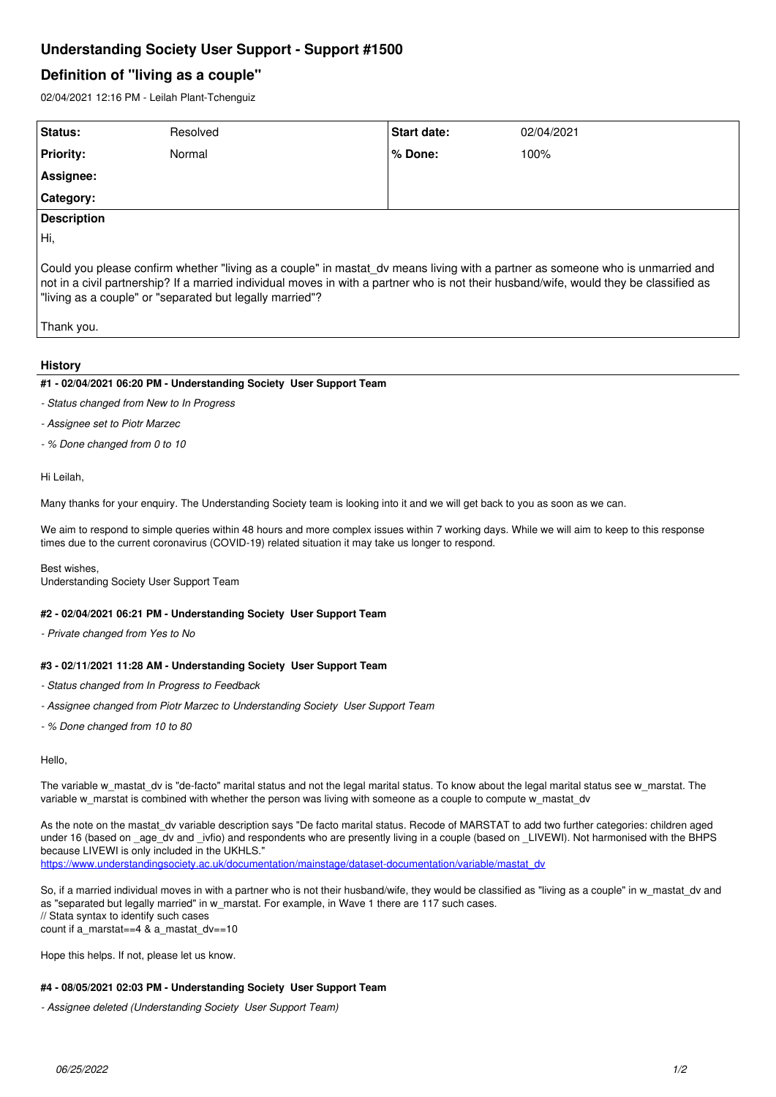# **Understanding Society User Support - Support #1500**

## **Definition of "living as a couple"**

02/04/2021 12:16 PM - Leilah Plant-Tchenguiz

| Status:                                                                                                                                                                                                                                                                                                                              | Resolved | Start date: | 02/04/2021 |
|--------------------------------------------------------------------------------------------------------------------------------------------------------------------------------------------------------------------------------------------------------------------------------------------------------------------------------------|----------|-------------|------------|
| <b>Priority:</b>                                                                                                                                                                                                                                                                                                                     | Normal   | % Done:     | 100%       |
| Assignee:                                                                                                                                                                                                                                                                                                                            |          |             |            |
| <b>Category:</b>                                                                                                                                                                                                                                                                                                                     |          |             |            |
| Description                                                                                                                                                                                                                                                                                                                          |          |             |            |
| ĪНi,                                                                                                                                                                                                                                                                                                                                 |          |             |            |
| Could you please confirm whether "living as a couple" in mastat dv means living with a partner as someone who is unmarried and<br>not in a civil partnership? If a married individual moves in with a partner who is not their husband/wife, would they be classified as<br>"living as a couple" or "separated but legally married"? |          |             |            |

Thank you.

#### **History**

#### **#1 - 02/04/2021 06:20 PM - Understanding Society User Support Team**

- *Status changed from New to In Progress*
- *Assignee set to Piotr Marzec*
- *% Done changed from 0 to 10*

Hi Leilah,

Many thanks for your enquiry. The Understanding Society team is looking into it and we will get back to you as soon as we can.

We aim to respond to simple queries within 48 hours and more complex issues within 7 working days. While we will aim to keep to this response times due to the current coronavirus (COVID-19) related situation it may take us longer to respond.

Best wishes, Understanding Society User Support Team

#### **#2 - 02/04/2021 06:21 PM - Understanding Society User Support Team**

*- Private changed from Yes to No*

#### **#3 - 02/11/2021 11:28 AM - Understanding Society User Support Team**

- *Status changed from In Progress to Feedback*
- *Assignee changed from Piotr Marzec to Understanding Society User Support Team*
- *% Done changed from 10 to 80*

Hello,

The variable w\_mastat\_dv is "de-facto" marital status and not the legal marital status. To know about the legal marital status see w\_marstat. The variable w\_marstat is combined with whether the person was living with someone as a couple to compute w\_mastat\_dv

As the note on the mastat dv variable description says "De facto marital status. Recode of MARSTAT to add two further categories: children aged under 16 (based on \_age\_dv and \_ivfio) and respondents who are presently living in a couple (based on \_LIVEWI). Not harmonised with the BHPS because LIVEWI is only included in the UKHLS." [https://www.understandingsociety.ac.uk/documentation/mainstage/dataset-documentation/variable/mastat\\_dv](https://www.understandingsociety.ac.uk/documentation/mainstage/dataset-documentation/variable/mastat_dv)

So, if a married individual moves in with a partner who is not their husband/wife, they would be classified as "living as a couple" in w\_mastat\_dv and as "separated but legally married" in w\_marstat. For example, in Wave 1 there are 117 such cases. // Stata syntax to identify such cases count if a\_marstat==4 & a\_mastat\_dv==10

Hope this helps. If not, please let us know.

#### **#4 - 08/05/2021 02:03 PM - Understanding Society User Support Team**

*- Assignee deleted (Understanding Society User Support Team)*